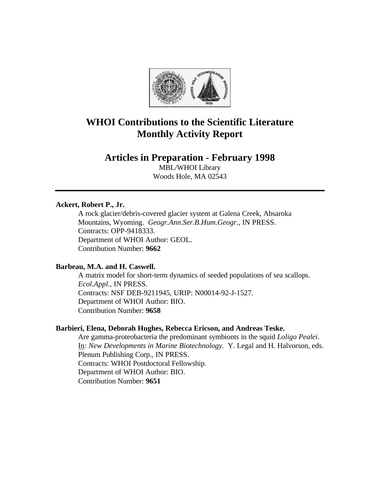

# **WHOI Contributions to the Scientific Literature Monthly Activity Report**

# **Articles in Preparation - February 1998**

MBL/WHOI Library Woods Hole, MA 02543

# **Ackert, Robert P., Jr.**

A rock glacier/debris-covered glacier system at Galena Creek, Absaroka Mountains, Wyoming. *Geogr.Ann.Ser.B.Hum.Geogr.*, IN PRESS. Contracts: OPP-9418333. Department of WHOI Author: GEOL. Contribution Number: **9662**

# **Barbeau, M.A. and H. Caswell.**

A matrix model for short-term dynamics of seeded populations of sea scallops. *Ecol.Appl.*, IN PRESS. Contracts: NSF DEB-9211945, URIP: N00014-92-J-1527. Department of WHOI Author: BIO. Contribution Number: **9658**

# **Barbieri, Elena, Deborah Hughes, Rebecca Ericson, and Andreas Teske.**

Are gamma-proteobacteria the predominant symbionts in the squid *Loligo Pealei*. In*: New Developments in Marine Biotechnology.* Y. Legal and H. Halvorson, eds. Plenum Publishing Corp., IN PRESS. Contracts: WHOI Postdoctoral Fellowship. Department of WHOI Author: BIO. Contribution Number: **9651**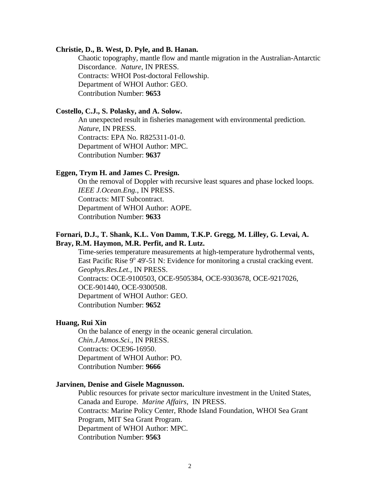#### **Christie, D., B. West, D. Pyle, and B. Hanan.**

Chaotic topography, mantle flow and mantle migration in the Australian-Antarctic Discordance. *Nature*, IN PRESS. Contracts: WHOI Post-doctoral Fellowship. Department of WHOI Author: GEO. Contribution Number: **9653**

#### **Costello, C.J., S. Polasky, and A. Solow.**

An unexpected result in fisheries management with environmental prediction. *Nature*, IN PRESS. Contracts: EPA No. R825311-01-0. Department of WHOI Author: MPC. Contribution Number: **9637**

# **Eggen, Trym H. and James C. Presign.**

On the removal of Doppler with recursive least squares and phase locked loops. *IEEE J.Ocean.Eng.*, IN PRESS. Contracts: MIT Subcontract. Department of WHOI Author: AOPE. Contribution Number: **9633**

# **Fornari, D.J., T. Shank, K.L. Von Damm, T.K.P. Gregg, M. Lilley, G. Levai, A. Bray, R.M. Haymon, M.R. Perfit, and R. Lutz.**

Time-series temperature measurements at high-temperature hydrothermal vents, East Pacific Rise 9° 49'-51 N: Evidence for monitoring a crustal cracking event. *Geophys.Res.Let.*, IN PRESS. Contracts: OCE-9100503, OCE-9505384, OCE-9303678, OCE-9217026, OCE-901440, OCE-9300508. Department of WHOI Author: GEO. Contribution Number: **9652**

# **Huang, Rui Xin**

On the balance of energy in the oceanic general circulation. *Chin.J.Atmos.Sci.*, IN PRESS. Contracts: OCE96-16950. Department of WHOI Author: PO. Contribution Number: **9666**

# **Jarvinen, Denise and Gisele Magnusson.**

Public resources for private sector mariculture investment in the United States, Canada and Europe. *Marine Affairs*, IN PRESS. Contracts: Marine Policy Center, Rhode Island Foundation, WHOI Sea Grant Program, MIT Sea Grant Program. Department of WHOI Author: MPC. Contribution Number: **9563**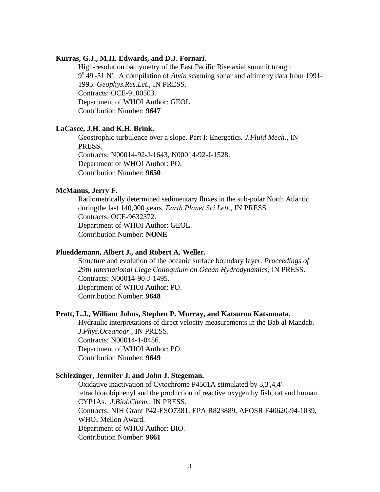#### **Kurras, G.J., M.H. Edwards, and D.J. Fornari.**

High-resolution bathymetry of the East Pacific Rise axial summit trough 9<sup>°</sup> 49'-51 N': A compilation of *Alvin* scanning sonar and altimetry data from 1991-1995. *Geophys.Res.Let.*, IN PRESS. Contracts: OCE-9100503. Department of WHOI Author: GEOL. Contribution Number: **9647**

### **LaCasce, J.H. and K.H. Brink.**

Geostrophic turbulence over a slope. Part I: Energetics. *J.Fluid Mech.*, IN PRESS. Contracts: N00014-92-J-1643, N00014-92-J-1528. Department of WHOI Author: PO.

Contribution Number: **9650**

#### **McManus, Jerry F.**

Radiometrically determined sedimentary fluxes in the sub-polar North Atlantic duringthe last 140,000 years. *Earth Planet.Sci.Lett.*, IN PRESS. Contracts: OCE-9632372. Department of WHOI Author: GEOL. Contribution Number: **NONE**

# **Plueddemann, Albert J., and Robert A. Weller.**

Structure and evolution of the oceanic surface boundary layer. *Proceedings of 29th International Liege Colloquium on Ocean Hydrodynamics*, IN PRESS. Contracts: N00014-90-J-1495. Department of WHOI Author: PO. Contribution Number: **9648**

# **Pratt, L.J., William Johns, Stephen P. Murray, and Katsurou Katsumata.**

Hydraulic interpretations of direct velocity measurements in the Bab al Mandab. *J.Phys.Oceanogr.*, IN PRESS. Contracts: N00014-1-0456. Department of WHOI Author: PO. Contribution Number: **9649**

### **Schlezinger, Jennifer J. and John J. Stegeman.**

Oxidative inactivation of Cytochrome P4501A stimulated by 3,3',4,4' tetrachlorobiphenyl and the production of reactive oxygen by fish, rat and human CYP1As. *J.Biol.Chem.*, IN PRESS. Contracts: NIH Grant P42-ESO7381, EPA R823889, AFOSR F40620-94-1039, WHOI Mellon Award. Department of WHOI Author: BIO. Contribution Number: **9661**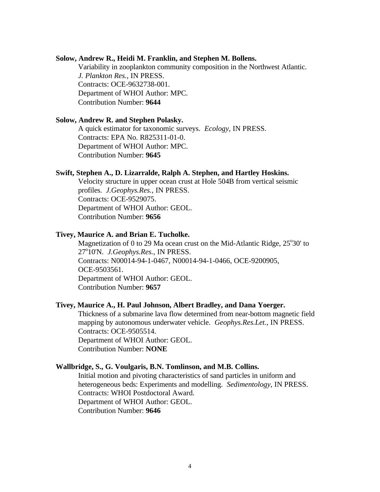### **Solow, Andrew R., Heidi M. Franklin, and Stephen M. Bollens.**

Variability in zooplankton community composition in the Northwest Atlantic. *J. Plankton Res.*, IN PRESS. Contracts: OCE-9632738-001. Department of WHOI Author: MPC. Contribution Number: **9644**

### **Solow, Andrew R. and Stephen Polasky.**

A quick estimator for taxonomic surveys. *Ecology*, IN PRESS. Contracts: EPA No. R825311-01-0. Department of WHOI Author: MPC. Contribution Number: **9645**

# **Swift, Stephen A., D. Lizarralde, Ralph A. Stephen, and Hartley Hoskins.**

Velocity structure in upper ocean crust at Hole 504B from vertical seismic profiles. *J.Geophys.Res.*, IN PRESS. Contracts: OCE-9529075. Department of WHOI Author: GEOL. Contribution Number: **9656**

# **Tivey, Maurice A. and Brian E. Tucholke.**

Magnetization of 0 to 29 Ma ocean crust on the Mid-Atlantic Ridge, 25°30' to 27°10'N. *J.Geophys.Res.*, IN PRESS. Contracts: N00014-94-1-0467, N00014-94-1-0466, OCE-9200905, OCE-9503561. Department of WHOI Author: GEOL. Contribution Number: **9657**

# **Tivey, Maurice A., H. Paul Johnson, Albert Bradley, and Dana Yoerger.**

Thickness of a submarine lava flow determined from near-bottom magnetic field mapping by autonomous underwater vehicle. *Geophys.Res.Let.*, IN PRESS. Contracts: OCE-9505514. Department of WHOI Author: GEOL. Contribution Number: **NONE**

# **Wallbridge, S., G. Voulgaris, B.N. Tomlinson, and M.B. Collins.**

Initial motion and pivoting characteristics of sand particles in uniform and heterogeneous beds: Experiments and modelling. *Sedimentology*, IN PRESS. Contracts: WHOI Postdoctoral Award. Department of WHOI Author: GEOL. Contribution Number: **9646**